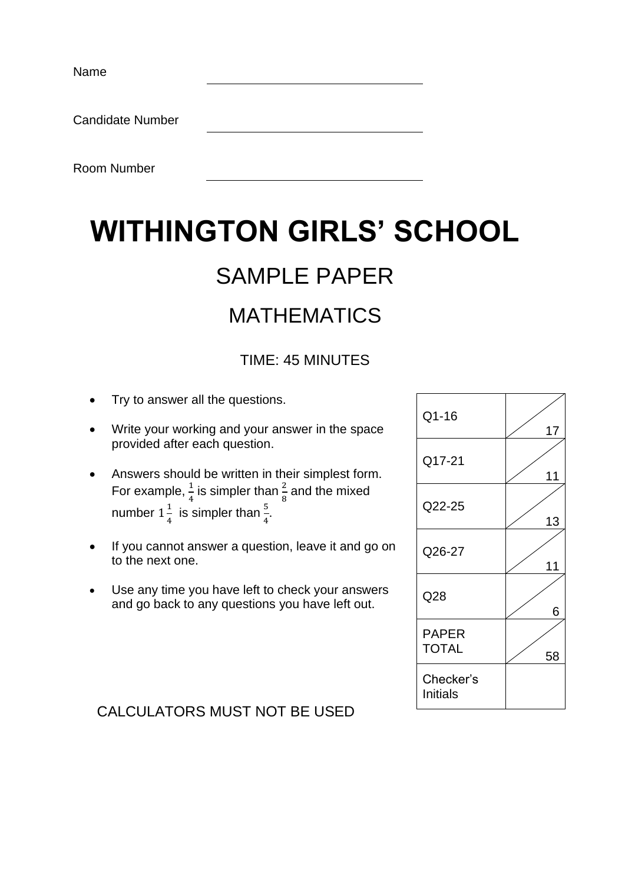Name

Candidate Number

Room Number

# **WITHINGTON GIRLS' SCHOOL**

## SAMPLE PAPER

### MATHEMATICS

### TIME: 45 MINUTES

- Try to answer all the questions.
- Write your working and your answer in the space provided after each question.
- Answers should be written in their simplest form. For example,  $\frac{1}{4}$  is simpler than  $\frac{2}{8}$  and the mixed number  $1\frac{1}{4}$  $\frac{1}{4}$  is simpler than  $\frac{5}{4}$ .
- If you cannot answer a question, leave it and go on to the next one.
- Use any time you have left to check your answers and go back to any questions you have left out.

| Q1-16                        | 17 |
|------------------------------|----|
| Q17-21                       | 11 |
| Q22-25                       | 13 |
| Q26-27                       | 11 |
| Q28                          | 6  |
| <b>PAPER</b><br><b>TOTAL</b> | 58 |
| Checker's<br>Initials        |    |

#### CALCULATORS MUST NOT BE USED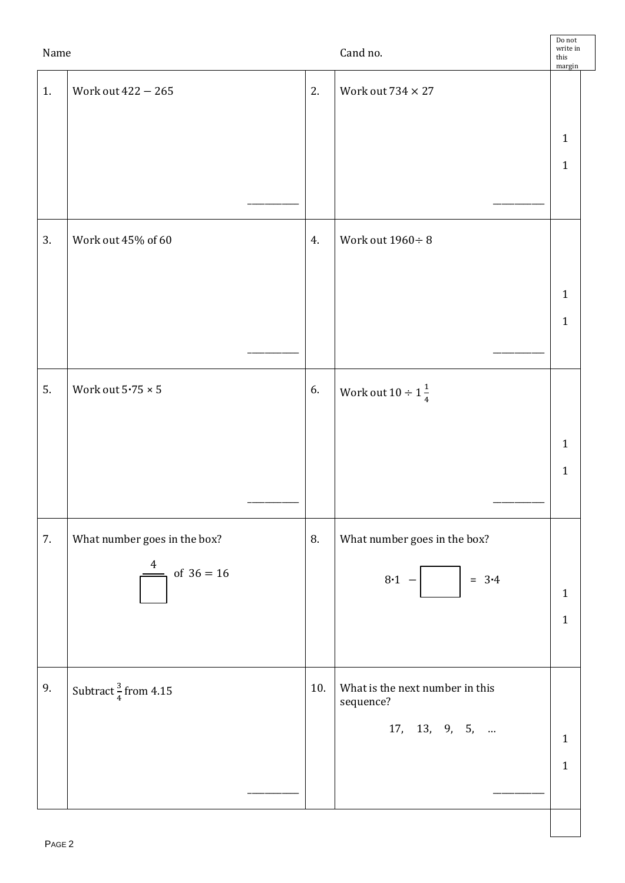| Name |                                   |     | Cand no.                                     | Do not<br>write in<br>this<br>margin |  |
|------|-----------------------------------|-----|----------------------------------------------|--------------------------------------|--|
| 1.   | Work out 422 - 265                | 2.  | Work out $734 \times 27$                     |                                      |  |
|      |                                   |     |                                              |                                      |  |
|      |                                   |     |                                              | $\mathbf{1}$<br>$\mathbf{1}$         |  |
|      |                                   |     |                                              |                                      |  |
|      |                                   |     |                                              |                                      |  |
| 3.   | Work out 45% of 60                | 4.  | Work out $1960 \div 8$                       |                                      |  |
|      |                                   |     |                                              | $\mathbf{1}$                         |  |
|      |                                   |     |                                              | $\mathbf{1}$                         |  |
|      |                                   |     |                                              |                                      |  |
| 5.   | Work out $5\cdot 75\times 5$      | 6.  | Work out $10 \div 1\frac{1}{4}$              |                                      |  |
|      |                                   |     |                                              |                                      |  |
|      |                                   |     |                                              | $\mathbf{1}$                         |  |
|      |                                   |     |                                              | $\mathbf{1}$                         |  |
|      |                                   |     |                                              |                                      |  |
| 7.   | What number goes in the box?<br>4 | 8.  | What number goes in the box?                 |                                      |  |
|      | of $36 = 16$                      |     | $8 - 1 -$<br>$= 3.4$                         | $\mathbf{1}$                         |  |
|      |                                   |     |                                              | $\mathbf{1}$                         |  |
|      |                                   |     |                                              |                                      |  |
| 9.   | Subtract $\frac{3}{4}$ from 4.15  | 10. | What is the next number in this<br>sequence? |                                      |  |
|      |                                   |     | 17, 13, 9, 5,                                | $\mathbf{1}$                         |  |
|      |                                   |     |                                              | $\mathbf{1}$                         |  |
|      |                                   |     |                                              |                                      |  |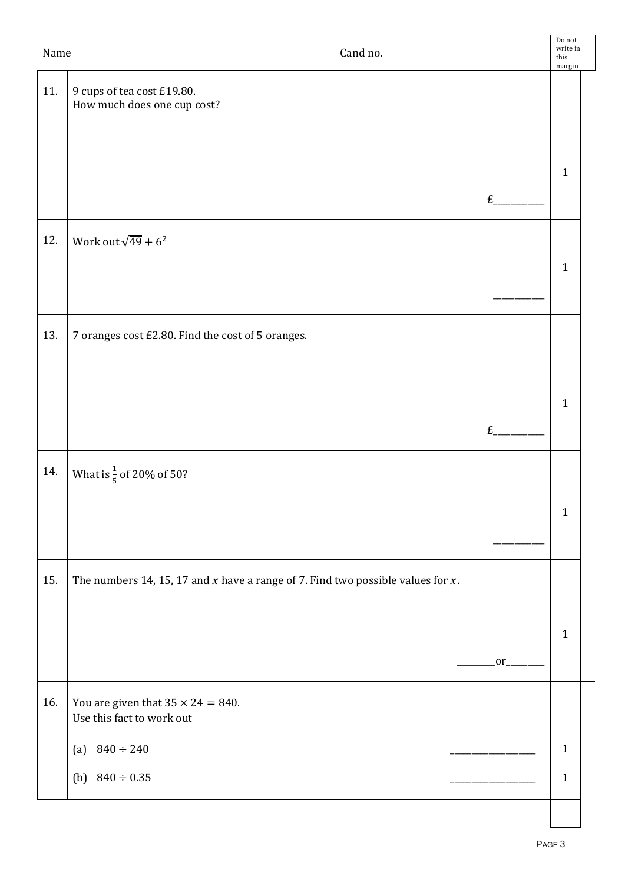| Name | Cand no.                                                                             |    | $\operatorname{\mathsf{Do}}$ not<br>write in<br>this<br>margin |  |
|------|--------------------------------------------------------------------------------------|----|----------------------------------------------------------------|--|
| 11.  | 9 cups of tea cost £19.80.<br>How much does one cup cost?                            |    |                                                                |  |
|      |                                                                                      | £  | $\mathbf{1}$                                                   |  |
| 12.  | Work out $\sqrt{49}+6^2$                                                             |    | $\mathbf{1}$                                                   |  |
| 13.  | 7 oranges cost £2.80. Find the cost of 5 oranges.                                    |    |                                                                |  |
|      |                                                                                      | E  | $\mathbf{1}$                                                   |  |
| 14.  | What is $\frac{1}{5}$ of 20% of 50?                                                  |    |                                                                |  |
|      |                                                                                      |    | $\mathbf{1}$                                                   |  |
| 15.  | The numbers 14, 15, 17 and $x$ have a range of 7. Find two possible values for $x$ . |    |                                                                |  |
|      |                                                                                      | or | $\mathbf{1}$                                                   |  |
| 16.  | You are given that $35 \times 24 = 840$ .<br>Use this fact to work out               |    |                                                                |  |
|      | (a) $840 \div 240$                                                                   |    | $\mathbf{1}$                                                   |  |
|      | (b) $840 \div 0.35$                                                                  |    | $\mathbf{1}$                                                   |  |
|      |                                                                                      |    |                                                                |  |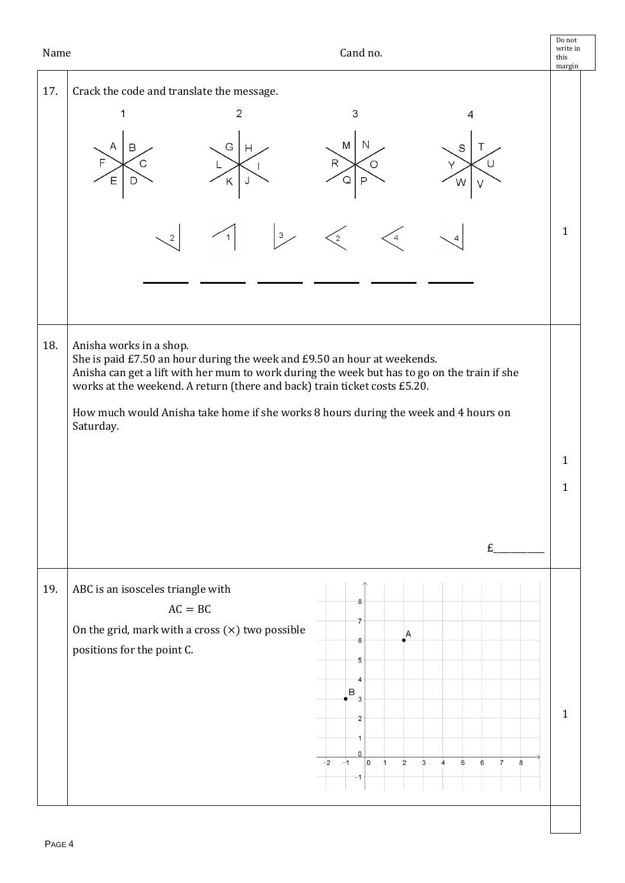| Name | Cand no.                                                                                                                                                                                                                                                                                                                                                                             | Do not<br>write in<br>this<br>margin |  |
|------|--------------------------------------------------------------------------------------------------------------------------------------------------------------------------------------------------------------------------------------------------------------------------------------------------------------------------------------------------------------------------------------|--------------------------------------|--|
| 17.  | Crack the code and translate the message.<br>$\mathbf{2}$<br>3<br>N                                                                                                                                                                                                                                                                                                                  |                                      |  |
|      | M<br>G<br>В<br>S<br>Н<br>$\mathsf R$<br>O<br>E<br>Q<br>P<br>Κ<br>W                                                                                                                                                                                                                                                                                                                   |                                      |  |
|      | $\mathbf{3}$<br>2<br>2<br>4                                                                                                                                                                                                                                                                                                                                                          | $\mathbf{1}$                         |  |
|      |                                                                                                                                                                                                                                                                                                                                                                                      |                                      |  |
| 18.  | Anisha works in a shop.<br>She is paid £7.50 an hour during the week and £9.50 an hour at weekends.<br>Anisha can get a lift with her mum to work during the week but has to go on the train if she<br>works at the weekend. A return (there and back) train ticket costs £5.20.<br>How much would Anisha take home if she works 8 hours during the week and 4 hours on<br>Saturday. |                                      |  |
|      | £                                                                                                                                                                                                                                                                                                                                                                                    | $\mathbf{1}$<br>1                    |  |
| 19.  | ABC is an isosceles triangle with<br>8<br>$AC = BC$<br>7<br>On the grid, mark with a cross $(x)$ two possible<br>Α<br>6<br>positions for the point C.<br>5<br>B<br>3<br>$\overline{\mathbf{2}}$<br>0<br>۱o<br>$\overline{5}$<br>$-2$<br>$-1$<br>$\overline{2}$<br>3<br>6<br>$\overline{7}$<br>$\mathbf{1}$<br>$\overline{4}$<br>8                                                    | $\mathbf{1}$                         |  |
|      |                                                                                                                                                                                                                                                                                                                                                                                      |                                      |  |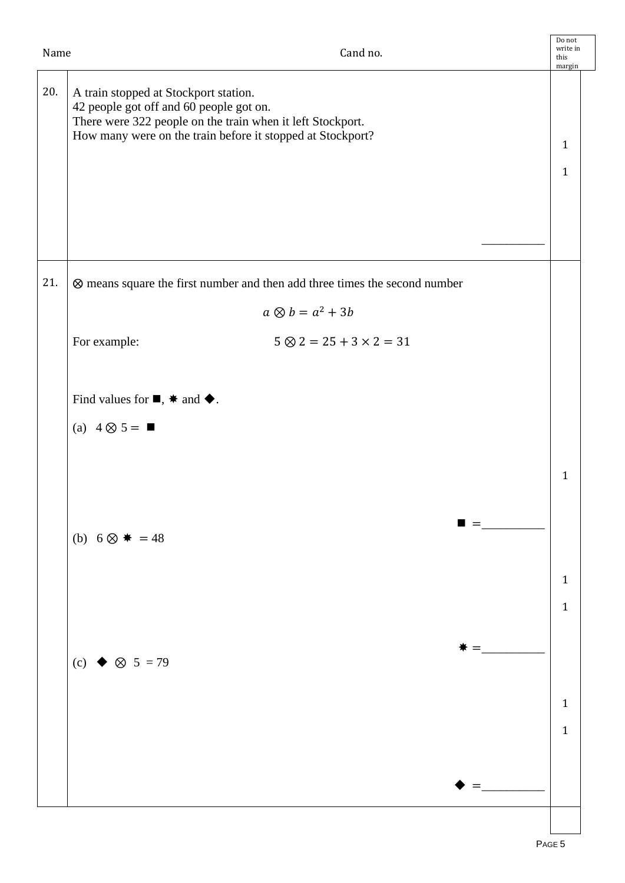| Name | Cand no.                                                                                                                                                                                                     | Do not<br>write in<br>this<br>margin |  |
|------|--------------------------------------------------------------------------------------------------------------------------------------------------------------------------------------------------------------|--------------------------------------|--|
| 20.  | A train stopped at Stockport station.<br>42 people got off and 60 people got on.<br>There were 322 people on the train when it left Stockport.<br>How many were on the train before it stopped at Stockport? | $\mathbf{1}$<br>$\mathbf{1}$         |  |
| 21.  | ⊗ means square the first number and then add three times the second number                                                                                                                                   |                                      |  |
|      | $a \otimes b = a^2 + 3b$                                                                                                                                                                                     |                                      |  |
|      | $5 \otimes 2 = 25 + 3 \times 2 = 31$<br>For example:                                                                                                                                                         |                                      |  |
|      |                                                                                                                                                                                                              |                                      |  |
|      | Find values for $\blacksquare$ , $\ast$ and $\blacklozenge$ .                                                                                                                                                |                                      |  |
|      | (a) $4 \otimes 5 = \blacksquare$                                                                                                                                                                             |                                      |  |
|      |                                                                                                                                                                                                              |                                      |  |
|      |                                                                                                                                                                                                              | $\mathbf{1}$                         |  |
|      | $\blacksquare =$<br>(b) $6 \otimes$ $* = 48$                                                                                                                                                                 |                                      |  |
|      |                                                                                                                                                                                                              | $\mathbf{1}$                         |  |
|      |                                                                                                                                                                                                              | $\mathbf{1}$                         |  |
|      |                                                                                                                                                                                                              |                                      |  |
|      | (c) $\bullet$ $\otimes$ 5 = 79                                                                                                                                                                               |                                      |  |
|      |                                                                                                                                                                                                              |                                      |  |
|      |                                                                                                                                                                                                              | $\mathbf{1}$                         |  |
|      |                                                                                                                                                                                                              | $\mathbf{1}$                         |  |
|      |                                                                                                                                                                                                              |                                      |  |
|      |                                                                                                                                                                                                              |                                      |  |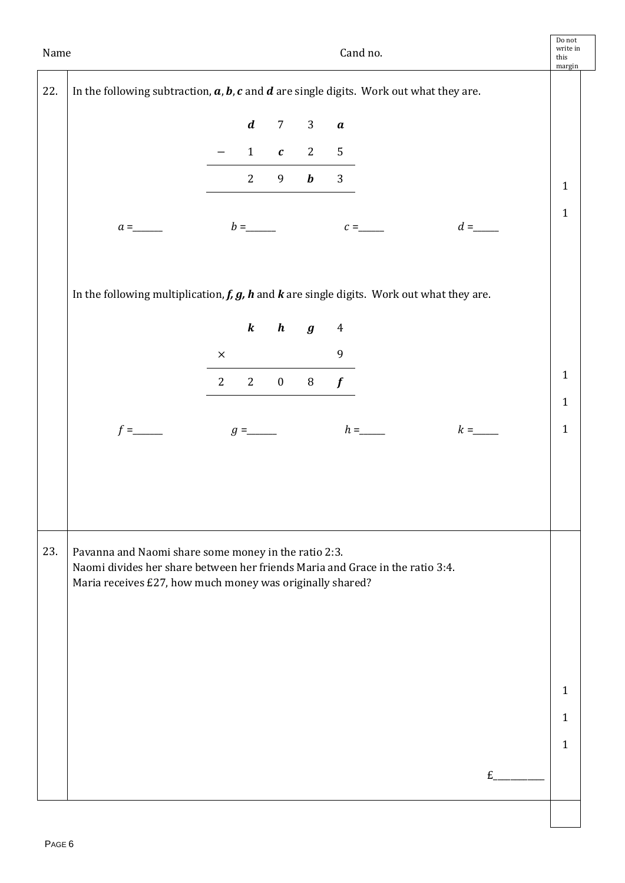| Name |                                                                                                                                                                                                    |             |                  |                  |                     |                  | Cand no. |       | Do not<br>write in<br>this<br>margin |
|------|----------------------------------------------------------------------------------------------------------------------------------------------------------------------------------------------------|-------------|------------------|------------------|---------------------|------------------|----------|-------|--------------------------------------|
| 22.  | In the following subtraction, $a$ , $b$ , $c$ and $d$ are single digits. Work out what they are.                                                                                                   |             |                  |                  |                     |                  |          |       |                                      |
|      |                                                                                                                                                                                                    |             | $\boldsymbol{d}$ | 7 <sup>7</sup>   | $\mathbf{3}$        | $\pmb{a}$        |          |       |                                      |
|      |                                                                                                                                                                                                    |             | $\mathbf{1}$     |                  | $c \quad 2 \quad 5$ |                  |          |       |                                      |
|      |                                                                                                                                                                                                    |             | $2^{\circ}$      |                  | 9 $\boldsymbol{b}$  | 3                |          |       | $\mathbf{1}$                         |
|      | $a =$                                                                                                                                                                                              |             |                  |                  |                     |                  | $c =$    | $d =$ | $\mathbf{1}$                         |
|      |                                                                                                                                                                                                    |             |                  |                  |                     |                  |          |       |                                      |
|      | In the following multiplication, $f$ , $g$ , $h$ and $k$ are single digits. Work out what they are.                                                                                                |             |                  |                  |                     |                  |          |       |                                      |
|      |                                                                                                                                                                                                    |             | $\boldsymbol{k}$ | $\boldsymbol{h}$ | $\boldsymbol{g}$    | $\overline{4}$   |          |       |                                      |
|      |                                                                                                                                                                                                    | $\times$    |                  |                  |                     | $\boldsymbol{9}$ |          |       |                                      |
|      |                                                                                                                                                                                                    | $2^{\circ}$ | $\overline{2}$   | $\mathbf{0}$     | $\, 8$              | $\boldsymbol{f}$ |          |       | $\mathbf{1}$                         |
|      |                                                                                                                                                                                                    |             |                  |                  |                     |                  |          |       | $\mathbf{1}$                         |
|      |                                                                                                                                                                                                    |             |                  |                  |                     |                  |          |       | $\mathbf{1}$                         |
|      |                                                                                                                                                                                                    |             |                  |                  |                     |                  |          |       |                                      |
|      |                                                                                                                                                                                                    |             |                  |                  |                     |                  |          |       |                                      |
|      |                                                                                                                                                                                                    |             |                  |                  |                     |                  |          |       |                                      |
| 23.  | Pavanna and Naomi share some money in the ratio 2:3.<br>Naomi divides her share between her friends Maria and Grace in the ratio 3:4.<br>Maria receives £27, how much money was originally shared? |             |                  |                  |                     |                  |          |       |                                      |
|      |                                                                                                                                                                                                    |             |                  |                  |                     |                  |          |       |                                      |
|      |                                                                                                                                                                                                    |             |                  |                  |                     |                  |          |       |                                      |
|      |                                                                                                                                                                                                    |             |                  |                  |                     |                  |          |       |                                      |
|      |                                                                                                                                                                                                    |             |                  |                  |                     |                  |          |       | $\mathbf{1}$                         |
|      |                                                                                                                                                                                                    |             |                  |                  |                     |                  |          |       | $\mathbf{1}$                         |
|      |                                                                                                                                                                                                    |             |                  |                  |                     |                  |          |       | $\mathbf{1}$                         |
|      |                                                                                                                                                                                                    |             |                  |                  |                     |                  |          | E     |                                      |
|      |                                                                                                                                                                                                    |             |                  |                  |                     |                  |          |       |                                      |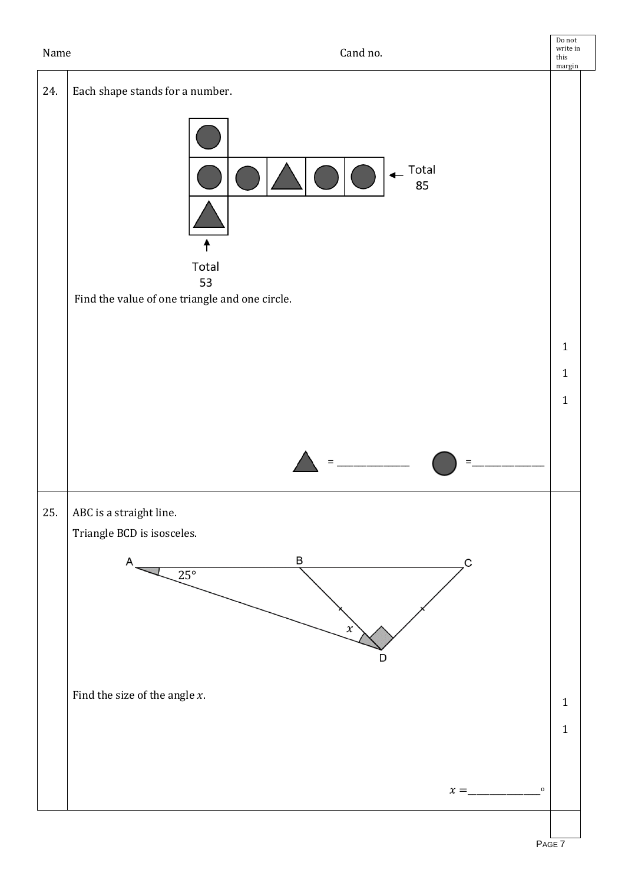| 24.<br>Each shape stands for a number.<br>Total<br>85<br>т<br>Total<br>53                                        |                                              |
|------------------------------------------------------------------------------------------------------------------|----------------------------------------------|
|                                                                                                                  |                                              |
|                                                                                                                  |                                              |
| Find the value of one triangle and one circle.                                                                   |                                              |
|                                                                                                                  | $\mathbf{1}$<br>$\mathbf{1}$<br>$\mathbf{1}$ |
| $=$                                                                                                              |                                              |
| 25.<br>ABC is a straight line.<br>Triangle BCD is isosceles.<br>B<br>C<br>$25^\circ$<br>$\boldsymbol{\chi}$<br>D |                                              |
| Find the size of the angle $x$ .                                                                                 | $\mathbf{1}$<br>$\mathbf{1}$                 |
| $x =$                                                                                                            | $\mathbf 0$                                  |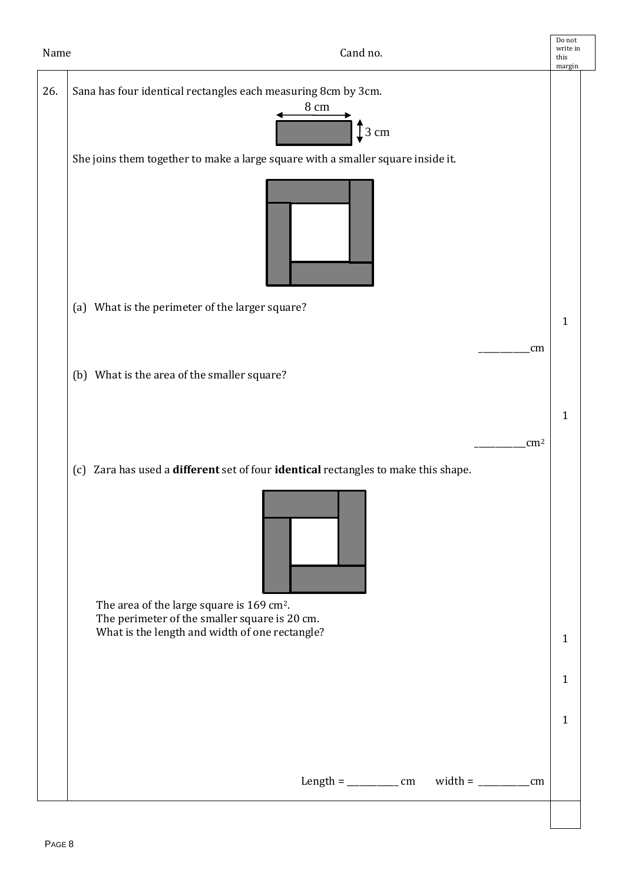| Name | Cand no.                                                                                           | Do not<br>write in<br>this<br>margin |
|------|----------------------------------------------------------------------------------------------------|--------------------------------------|
| 26.  | Sana has four identical rectangles each measuring 8cm by 3cm.<br>$8 \; \mathrm{cm}$<br>$\int$ 3 cm |                                      |
|      | She joins them together to make a large square with a smaller square inside it.                    |                                      |
|      |                                                                                                    |                                      |
|      | (a) What is the perimeter of the larger square?                                                    | $\mathbf{1}$                         |
|      | cm                                                                                                 |                                      |
|      | (b) What is the area of the smaller square?                                                        |                                      |
|      |                                                                                                    | $\mathbf{1}$                         |
|      | $\text{cm}^2$                                                                                      |                                      |
|      | (c) Zara has used a different set of four identical rectangles to make this shape.                 |                                      |
|      | The area of the large square is 169 cm <sup>2</sup> .                                              |                                      |
|      | The perimeter of the smaller square is 20 cm.<br>What is the length and width of one rectangle?    | $\mathbf{1}$                         |
|      |                                                                                                    | $\mathbf{1}$                         |
|      |                                                                                                    | $\mathbf{1}$                         |
|      | $width = \_ cm$                                                                                    |                                      |
|      |                                                                                                    |                                      |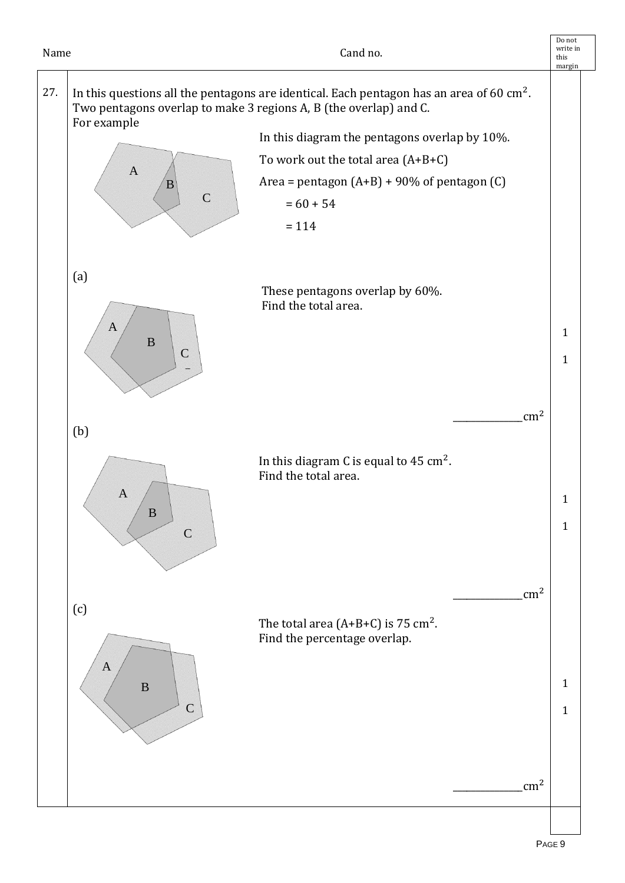